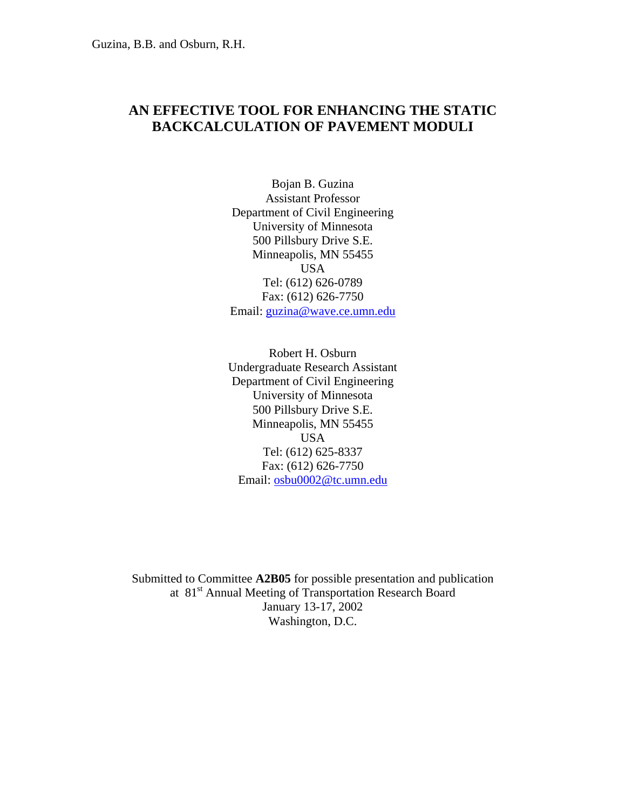## **AN EFFECTIVE TOOL FOR ENHANCING THE STATIC BACKCALCULATION OF PAVEMENT MODULI**

Bojan B. Guzina Assistant Professor Department of Civil Engineering University of Minnesota 500 Pillsbury Drive S.E. Minneapolis, MN 55455 USA Tel: (612) 626-0789 Fax: (612) 626-7750 Email: [guzina@wave.ce.umn.edu](mailto:guzina@wave.ce.umn.edu)

Robert H. Osburn Undergraduate Research Assistant Department of Civil Engineering University of Minnesota 500 Pillsbury Drive S.E. Minneapolis, MN 55455 USA Tel: (612) 625-8337 Fax: (612) 626-7750 Email: [osbu0002@tc.umn.edu](mailto:osbu0002@tc.umn.edu)

Submitted to Committee **A2B05** for possible presentation and publication at 81<sup>st</sup> Annual Meeting of Transportation Research Board January 13-17, 2002 Washington, D.C.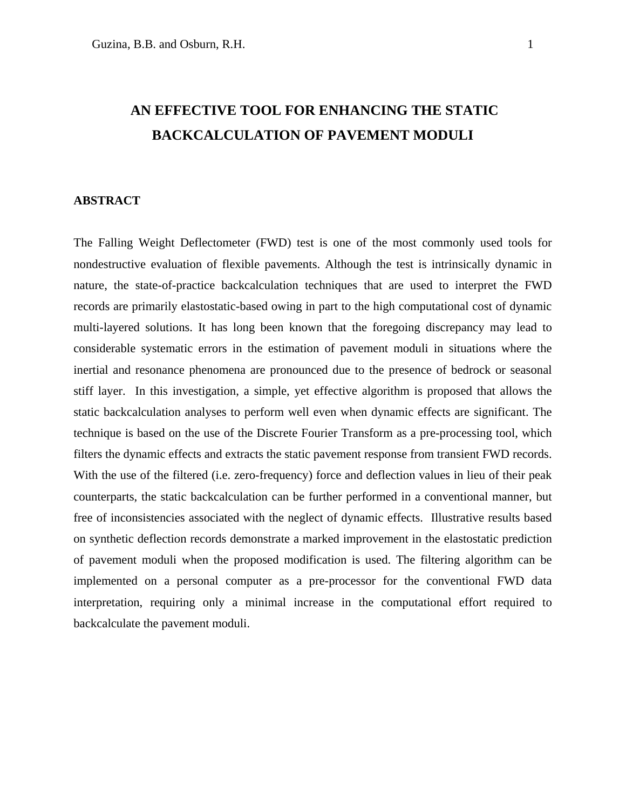# **AN EFFECTIVE TOOL FOR ENHANCING THE STATIC BACKCALCULATION OF PAVEMENT MODULI**

#### **ABSTRACT**

The Falling Weight Deflectometer (FWD) test is one of the most commonly used tools for nondestructive evaluation of flexible pavements. Although the test is intrinsically dynamic in nature, the state-of-practice backcalculation techniques that are used to interpret the FWD records are primarily elastostatic-based owing in part to the high computational cost of dynamic multi-layered solutions. It has long been known that the foregoing discrepancy may lead to considerable systematic errors in the estimation of pavement moduli in situations where the inertial and resonance phenomena are pronounced due to the presence of bedrock or seasonal stiff layer. In this investigation, a simple, yet effective algorithm is proposed that allows the static backcalculation analyses to perform well even when dynamic effects are significant. The technique is based on the use of the Discrete Fourier Transform as a pre-processing tool, which filters the dynamic effects and extracts the static pavement response from transient FWD records. With the use of the filtered (i.e. zero-frequency) force and deflection values in lieu of their peak counterparts, the static backcalculation can be further performed in a conventional manner, but free of inconsistencies associated with the neglect of dynamic effects. Illustrative results based on synthetic deflection records demonstrate a marked improvement in the elastostatic prediction of pavement moduli when the proposed modification is used. The filtering algorithm can be implemented on a personal computer as a pre-processor for the conventional FWD data interpretation, requiring only a minimal increase in the computational effort required to backcalculate the pavement moduli.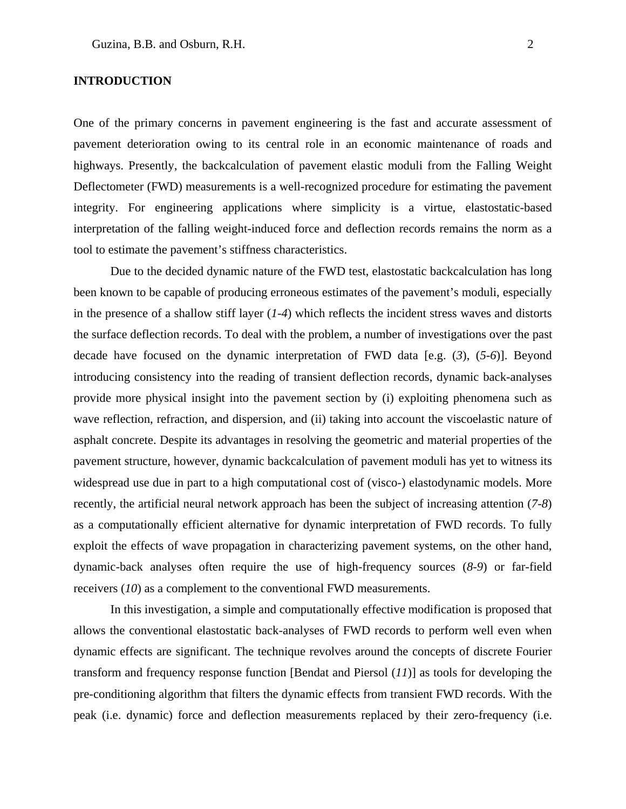#### **INTRODUCTION**

One of the primary concerns in pavement engineering is the fast and accurate assessment of pavement deterioration owing to its central role in an economic maintenance of roads and highways. Presently, the backcalculation of pavement elastic moduli from the Falling Weight Deflectometer (FWD) measurements is a well-recognized procedure for estimating the pavement integrity. For engineering applications where simplicity is a virtue, elastostatic-based interpretation of the falling weight-induced force and deflection records remains the norm as a tool to estimate the pavement's stiffness characteristics.

Due to the decided dynamic nature of the FWD test, elastostatic backcalculation has long been known to be capable of producing erroneous estimates of the pavement's moduli, especially in the presence of a shallow stiff layer (*1-4*) which reflects the incident stress waves and distorts the surface deflection records. To deal with the problem, a number of investigations over the past decade have focused on the dynamic interpretation of FWD data [e.g. (*3*), (*5-6*)]. Beyond introducing consistency into the reading of transient deflection records, dynamic back-analyses provide more physical insight into the pavement section by (i) exploiting phenomena such as wave reflection, refraction, and dispersion, and (ii) taking into account the viscoelastic nature of asphalt concrete. Despite its advantages in resolving the geometric and material properties of the pavement structure, however, dynamic backcalculation of pavement moduli has yet to witness its widespread use due in part to a high computational cost of (visco-) elastodynamic models. More recently, the artificial neural network approach has been the subject of increasing attention (*7-8*) as a computationally efficient alternative for dynamic interpretation of FWD records. To fully exploit the effects of wave propagation in characterizing pavement systems, on the other hand, dynamic-back analyses often require the use of high-frequency sources (*8-9*) or far-field receivers (*10*) as a complement to the conventional FWD measurements.

 In this investigation, a simple and computationally effective modification is proposed that allows the conventional elastostatic back-analyses of FWD records to perform well even when dynamic effects are significant. The technique revolves around the concepts of discrete Fourier transform and frequency response function [Bendat and Piersol (*11*)] as tools for developing the pre-conditioning algorithm that filters the dynamic effects from transient FWD records. With the peak (i.e. dynamic) force and deflection measurements replaced by their zero-frequency (i.e.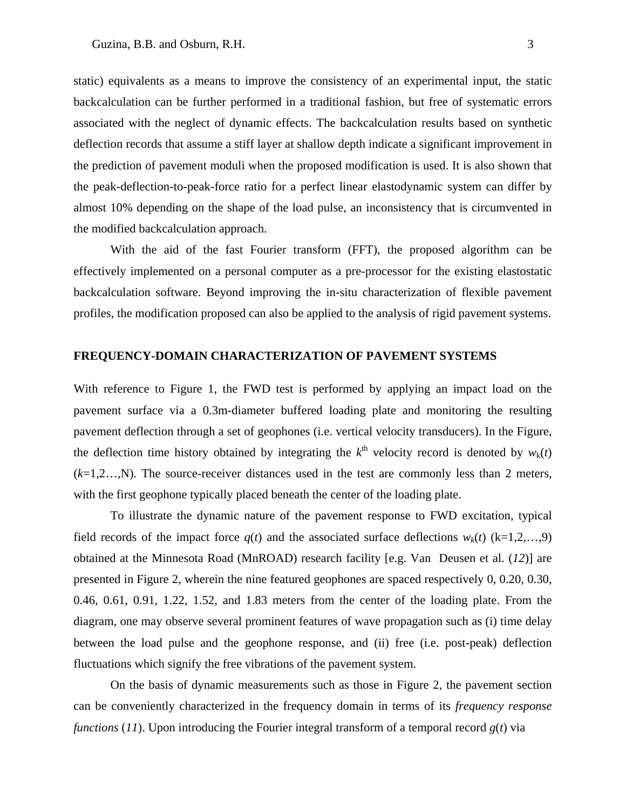static) equivalents as a means to improve the consistency of an experimental input, the static backcalculation can be further performed in a traditional fashion, but free of systematic errors associated with the neglect of dynamic effects. The backcalculation results based on synthetic deflection records that assume a stiff layer at shallow depth indicate a significant improvement in the prediction of pavement moduli when the proposed modification is used. It is also shown that the peak-deflection-to-peak-force ratio for a perfect linear elastodynamic system can differ by almost 10% depending on the shape of the load pulse, an inconsistency that is circumvented in the modified backcalculation approach.

With the aid of the fast Fourier transform (FFT), the proposed algorithm can be effectively implemented on a personal computer as a pre-processor for the existing elastostatic backcalculation software. Beyond improving the in-situ characterization of flexible pavement profiles, the modification proposed can also be applied to the analysis of rigid pavement systems.

#### **FREQUENCY-DOMAIN CHARACTERIZATION OF PAVEMENT SYSTEMS**

With reference to Figure 1, the FWD test is performed by applying an impact load on the pavement surface via a 0.3m-diameter buffered loading plate and monitoring the resulting pavement deflection through a set of geophones (i.e. vertical velocity transducers). In the Figure, the deflection time history obtained by integrating the  $k^{\text{th}}$  velocity record is denoted by  $w_{k}(t)$  $(k=1,2...$ , N). The source-receiver distances used in the test are commonly less than 2 meters, with the first geophone typically placed beneath the center of the loading plate.

To illustrate the dynamic nature of the pavement response to FWD excitation, typical field records of the impact force  $q(t)$  and the associated surface deflections  $w_k(t)$  (k=1,2,...,9) obtained at the Minnesota Road (MnROAD) research facility [e.g. Van Deusen et al. (*12*)] are presented in Figure 2, wherein the nine featured geophones are spaced respectively 0, 0.20, 0.30, 0.46, 0.61, 0.91, 1.22, 1.52, and 1.83 meters from the center of the loading plate. From the diagram, one may observe several prominent features of wave propagation such as (i) time delay between the load pulse and the geophone response, and (ii) free (i.e. post-peak) deflection fluctuations which signify the free vibrations of the pavement system.

On the basis of dynamic measurements such as those in Figure 2, the pavement section can be conveniently characterized in the frequency domain in terms of its *frequency response functions (11).* Upon introducing the Fourier integral transform of a temporal record  $g(t)$  via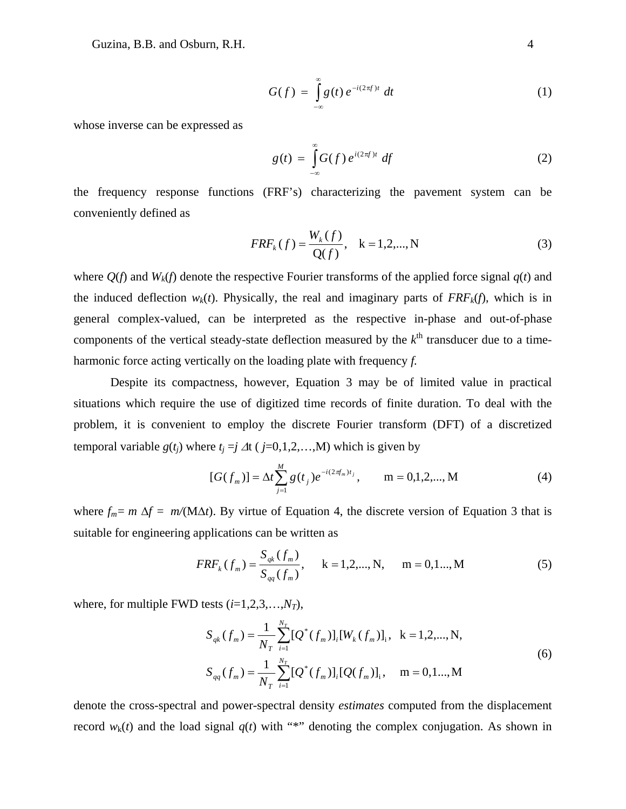Guzina, B.B. and Osburn, R.H. 4

$$
G(f) = \int_{-\infty}^{\infty} g(t) e^{-i(2\pi f)t} dt
$$
 (1)

whose inverse can be expressed as

$$
g(t) = \int_{-\infty}^{\infty} G(f) e^{i(2\pi f)t} df
$$
 (2)

the frequency response functions (FRF's) characterizing the pavement system can be conveniently defined as

$$
FRF_{k}(f) = \frac{W_{k}(f)}{Q(f)}, \quad k = 1, 2, ..., N
$$
 (3)

where  $O(f)$  and  $W_k(f)$  denote the respective Fourier transforms of the applied force signal  $q(t)$  and the induced deflection  $w_k(t)$ . Physically, the real and imaginary parts of  $FRF_k(f)$ , which is in general complex-valued, can be interpreted as the respective in-phase and out-of-phase components of the vertical steady-state deflection measured by the  $k^{\text{th}}$  transducer due to a timeharmonic force acting vertically on the loading plate with frequency *f.* 

Despite its compactness, however, Equation 3 may be of limited value in practical situations which require the use of digitized time records of finite duration. To deal with the problem, it is convenient to employ the discrete Fourier transform (DFT) of a discretized temporal variable  $g(t_i)$  where  $t_i = j \Delta t$  (  $j = 0, 1, 2, \ldots, M$ ) which is given by

$$
[G(f_m)] = \Delta t \sum_{j=1}^{M} g(t_j) e^{-i(2\pi f_m)t_j}, \qquad m = 0, 1, 2, ..., M
$$
 (4)

where  $f_m = m \Delta f = m/(M\Delta t)$ . By virtue of Equation 4, the discrete version of Equation 3 that is suitable for engineering applications can be written as

$$
FRF_{k}(f_{m}) = \frac{S_{qk}(f_{m})}{S_{qq}(f_{m})}, \quad k = 1, 2, ..., N, \quad m = 0, 1, ..., M
$$
 (5)

where, for multiple FWD tests (*i*=1,2,3,…,*NT*),

$$
S_{qk}(f_m) = \frac{1}{N_T} \sum_{i=1}^{N_T} [Q^*(f_m)]_i [W_k(f_m)]_i, \quad k = 1, 2, ..., N,
$$
  

$$
S_{qq}(f_m) = \frac{1}{N_T} \sum_{i=1}^{N_T} [Q^*(f_m)]_i [Q(f_m)]_i, \quad m = 0, 1, ..., M
$$
 (6)

denote the cross-spectral and power-spectral density *estimates* computed from the displacement record  $w_k(t)$  and the load signal  $q(t)$  with "\*" denoting the complex conjugation. As shown in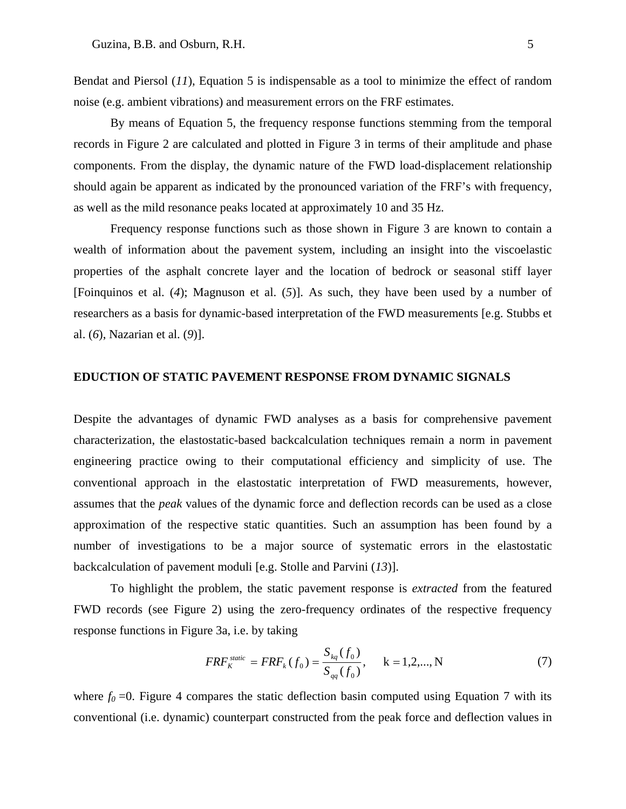Bendat and Piersol (*11*), Equation 5 is indispensable as a tool to minimize the effect of random noise (e.g. ambient vibrations) and measurement errors on the FRF estimates.

By means of Equation 5, the frequency response functions stemming from the temporal records in Figure 2 are calculated and plotted in Figure 3 in terms of their amplitude and phase components. From the display, the dynamic nature of the FWD load-displacement relationship should again be apparent as indicated by the pronounced variation of the FRF's with frequency, as well as the mild resonance peaks located at approximately 10 and 35 Hz.

Frequency response functions such as those shown in Figure 3 are known to contain a wealth of information about the pavement system, including an insight into the viscoelastic properties of the asphalt concrete layer and the location of bedrock or seasonal stiff layer [Foinquinos et al. (*4*); Magnuson et al. (*5*)]. As such, they have been used by a number of researchers as a basis for dynamic-based interpretation of the FWD measurements [e.g. Stubbs et al. (*6*), Nazarian et al. (*9*)].

#### **EDUCTION OF STATIC PAVEMENT RESPONSE FROM DYNAMIC SIGNALS**

Despite the advantages of dynamic FWD analyses as a basis for comprehensive pavement characterization, the elastostatic-based backcalculation techniques remain a norm in pavement engineering practice owing to their computational efficiency and simplicity of use. The conventional approach in the elastostatic interpretation of FWD measurements, however, assumes that the *peak* values of the dynamic force and deflection records can be used as a close approximation of the respective static quantities. Such an assumption has been found by a number of investigations to be a major source of systematic errors in the elastostatic backcalculation of pavement moduli [e.g. Stolle and Parvini (*13*)].

To highlight the problem, the static pavement response is *extracted* from the featured FWD records (see Figure 2) using the zero-frequency ordinates of the respective frequency response functions in Figure 3a, i.e. by taking

$$
FRF_{K}^{static} = FRF_{k}(f_{0}) = \frac{S_{kq}(f_{0})}{S_{qq}(f_{0})}, \quad k = 1, 2, ..., N
$$
 (7)

where  $f_0 = 0$ . Figure 4 compares the static deflection basin computed using Equation 7 with its conventional (i.e. dynamic) counterpart constructed from the peak force and deflection values in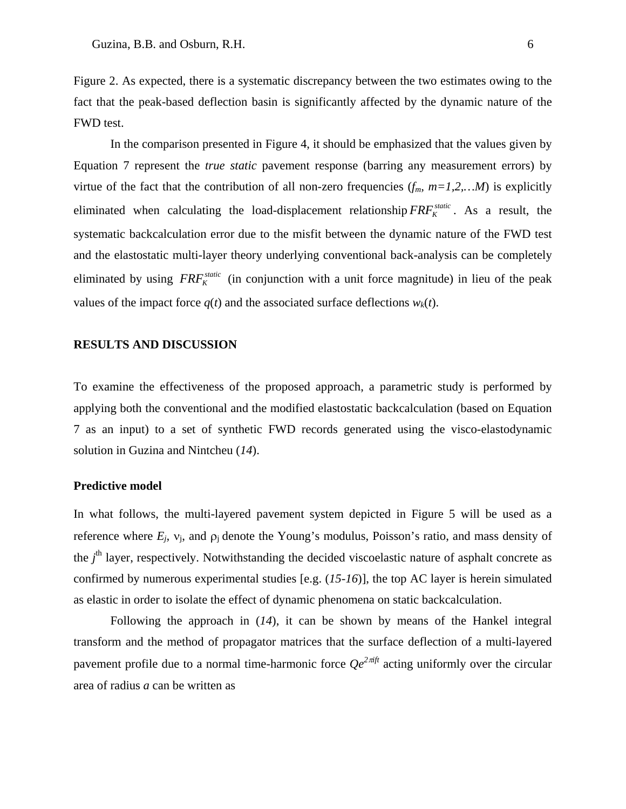Figure 2. As expected, there is a systematic discrepancy between the two estimates owing to the fact that the peak-based deflection basin is significantly affected by the dynamic nature of the FWD test.

In the comparison presented in Figure 4, it should be emphasized that the values given by Equation 7 represent the *true static* pavement response (barring any measurement errors) by virtue of the fact that the contribution of all non-zero frequencies  $(f_m, m=1,2,...M)$  is explicitly eliminated when calculating the load-displacement relationship  $FRF_K^{static}$ . As a result, the systematic backcalculation error due to the misfit between the dynamic nature of the FWD test and the elastostatic multi-layer theory underlying conventional back-analysis can be completely eliminated by using  $FRF_{K}^{static}$  (in conjunction with a unit force magnitude) in lieu of the peak values of the impact force  $q(t)$  and the associated surface deflections  $w_k(t)$ .

#### **RESULTS AND DISCUSSION**

To examine the effectiveness of the proposed approach, a parametric study is performed by applying both the conventional and the modified elastostatic backcalculation (based on Equation 7 as an input) to a set of synthetic FWD records generated using the visco-elastodynamic solution in Guzina and Nintcheu (*14*).

#### **Predictive model**

In what follows, the multi-layered pavement system depicted in Figure 5 will be used as a reference where  $E_j$ ,  $v_j$ , and  $\rho_j$  denote the Young's modulus, Poisson's ratio, and mass density of the *j*<sup>th</sup> layer, respectively. Notwithstanding the decided viscoelastic nature of asphalt concrete as confirmed by numerous experimental studies [e.g. (*15-16*)], the top AC layer is herein simulated as elastic in order to isolate the effect of dynamic phenomena on static backcalculation.

Following the approach in (*14*), it can be shown by means of the Hankel integral transform and the method of propagator matrices that the surface deflection of a multi-layered pavement profile due to a normal time-harmonic force  $Qe^{2\pi i f t}$  acting uniformly over the circular area of radius *a* can be written as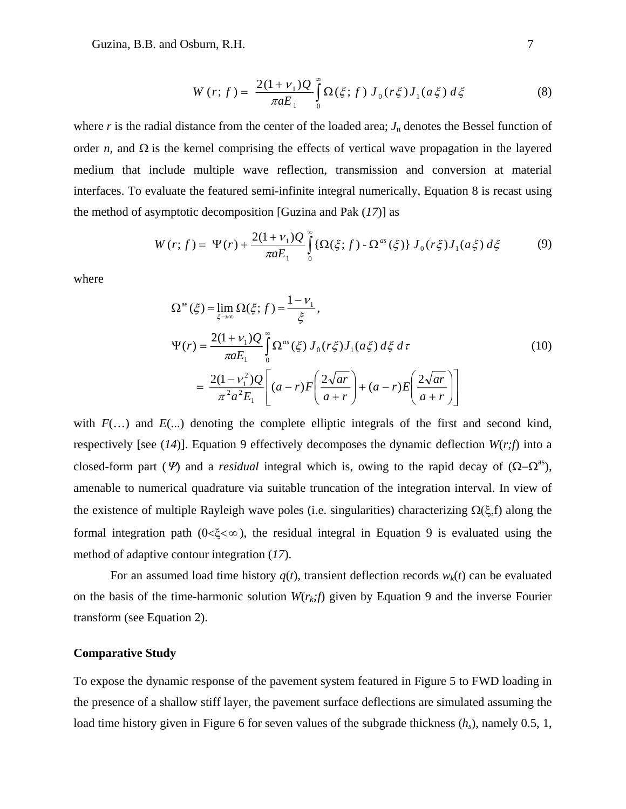Guzina, B.B. and Osburn, R.H. 7

$$
W(r; f) = \frac{2(1 + v_1)Q}{\pi a E_1} \int_0^{\infty} \Omega(\xi; f) J_0(r\xi) J_1(a\xi) d\xi
$$
 (8)

where  $r$  is the radial distance from the center of the loaded area;  $J_n$  denotes the Bessel function of order *n*, and  $\Omega$  is the kernel comprising the effects of vertical wave propagation in the layered medium that include multiple wave reflection, transmission and conversion at material interfaces. To evaluate the featured semi-infinite integral numerically, Equation 8 is recast using the method of asymptotic decomposition [Guzina and Pak (*17*)] as

$$
W(r; f) = \Psi(r) + \frac{2(1 + \nu_1)Q}{\pi a E_1} \int_0^{\infty} {\{\Omega(\xi; f) - \Omega^{as}(\xi)\} J_0(r\xi) J_1(a\xi) d\xi}
$$
(9)

where

$$
\Omega^{as}(\xi) = \lim_{\xi \to \infty} \Omega(\xi; f) = \frac{1 - \nu_{1}}{\xi},
$$
\n
$$
\Psi(r) = \frac{2(1 + \nu_{1})Q}{\pi a E_{1}} \int_{0}^{\infty} \Omega^{as}(\xi) J_{0}(r\xi) J_{1}(a\xi) d\xi d\tau
$$
\n
$$
= \frac{2(1 - \nu_{1}^{2})Q}{\pi^{2} a^{2} E_{1}} \left[ (a - r) F\left(\frac{2\sqrt{ar}}{a + r}\right) + (a - r) E\left(\frac{2\sqrt{ar}}{a + r}\right) \right]
$$
\n(10)

with  $F(\ldots)$  and  $E(\ldots)$  denoting the complete elliptic integrals of the first and second kind, respectively [see (*14*)]. Equation 9 effectively decomposes the dynamic deflection *W*(*r;f*) into a closed-form part ( $\Psi$ ) and a *residual* integral which is, owing to the rapid decay of ( $\Omega - \Omega^{as}$ ), amenable to numerical quadrature via suitable truncation of the integration interval. In view of the existence of multiple Rayleigh wave poles (i.e. singularities) characterizing  $\Omega(\xi, f)$  along the formal integration path  $(0<\xi<\infty)$ , the residual integral in Equation 9 is evaluated using the method of adaptive contour integration (*17*).

For an assumed load time history  $q(t)$ , transient deflection records  $w_k(t)$  can be evaluated on the basis of the time-harmonic solution  $W(r_k;f)$  given by Equation 9 and the inverse Fourier transform (see Equation 2).

#### **Comparative Study**

To expose the dynamic response of the pavement system featured in Figure 5 to FWD loading in the presence of a shallow stiff layer, the pavement surface deflections are simulated assuming the load time history given in Figure 6 for seven values of the subgrade thickness (*hs*), namely 0.5, 1,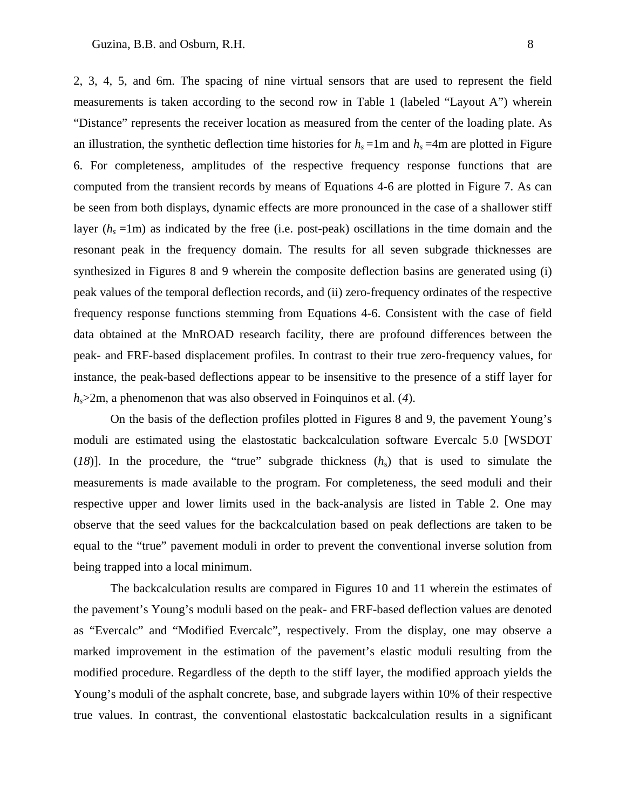2, 3, 4, 5, and 6m. The spacing of nine virtual sensors that are used to represent the field measurements is taken according to the second row in Table 1 (labeled "Layout A") wherein "Distance" represents the receiver location as measured from the center of the loading plate. As an illustration, the synthetic deflection time histories for  $h_s = 1$ m and  $h_s = 4$ m are plotted in Figure 6. For completeness, amplitudes of the respective frequency response functions that are computed from the transient records by means of Equations 4-6 are plotted in Figure 7. As can be seen from both displays, dynamic effects are more pronounced in the case of a shallower stiff layer  $(h_s = 1m)$  as indicated by the free (i.e. post-peak) oscillations in the time domain and the resonant peak in the frequency domain. The results for all seven subgrade thicknesses are synthesized in Figures 8 and 9 wherein the composite deflection basins are generated using (i) peak values of the temporal deflection records, and (ii) zero-frequency ordinates of the respective frequency response functions stemming from Equations 4-6. Consistent with the case of field data obtained at the MnROAD research facility, there are profound differences between the peak- and FRF-based displacement profiles. In contrast to their true zero-frequency values, for instance, the peak-based deflections appear to be insensitive to the presence of a stiff layer for *hs*>2m, a phenomenon that was also observed in Foinquinos et al. (*4*).

On the basis of the deflection profiles plotted in Figures 8 and 9, the pavement Young's moduli are estimated using the elastostatic backcalculation software Evercalc 5.0 [WSDOT ( $18$ )]. In the procedure, the "true" subgrade thickness  $(h<sub>s</sub>)$  that is used to simulate the measurements is made available to the program. For completeness, the seed moduli and their respective upper and lower limits used in the back-analysis are listed in Table 2. One may observe that the seed values for the backcalculation based on peak deflections are taken to be equal to the "true" pavement moduli in order to prevent the conventional inverse solution from being trapped into a local minimum.

The backcalculation results are compared in Figures 10 and 11 wherein the estimates of the pavement's Young's moduli based on the peak- and FRF-based deflection values are denoted as "Evercalc" and "Modified Evercalc", respectively. From the display, one may observe a marked improvement in the estimation of the pavement's elastic moduli resulting from the modified procedure. Regardless of the depth to the stiff layer, the modified approach yields the Young's moduli of the asphalt concrete, base, and subgrade layers within 10% of their respective true values. In contrast, the conventional elastostatic backcalculation results in a significant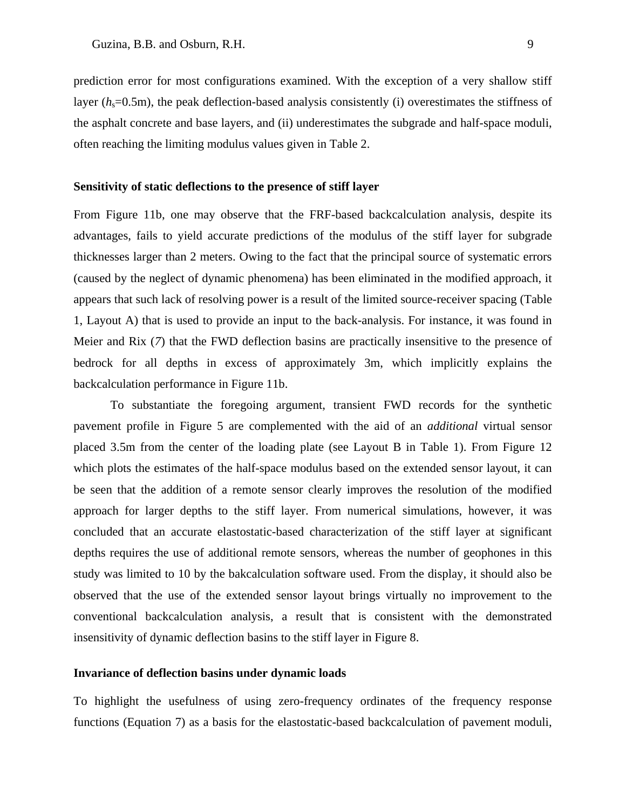prediction error for most configurations examined. With the exception of a very shallow stiff layer  $(h_s=0.5m)$ , the peak deflection-based analysis consistently (i) overestimates the stiffness of the asphalt concrete and base layers, and (ii) underestimates the subgrade and half-space moduli, often reaching the limiting modulus values given in Table 2.

#### **Sensitivity of static deflections to the presence of stiff layer**

From Figure 11b, one may observe that the FRF-based backcalculation analysis, despite its advantages, fails to yield accurate predictions of the modulus of the stiff layer for subgrade thicknesses larger than 2 meters. Owing to the fact that the principal source of systematic errors (caused by the neglect of dynamic phenomena) has been eliminated in the modified approach, it appears that such lack of resolving power is a result of the limited source-receiver spacing (Table 1, Layout A) that is used to provide an input to the back-analysis. For instance, it was found in Meier and Rix (*7*) that the FWD deflection basins are practically insensitive to the presence of bedrock for all depths in excess of approximately 3m, which implicitly explains the backcalculation performance in Figure 11b.

To substantiate the foregoing argument, transient FWD records for the synthetic pavement profile in Figure 5 are complemented with the aid of an *additional* virtual sensor placed 3.5m from the center of the loading plate (see Layout B in Table 1). From Figure 12 which plots the estimates of the half-space modulus based on the extended sensor layout, it can be seen that the addition of a remote sensor clearly improves the resolution of the modified approach for larger depths to the stiff layer. From numerical simulations, however, it was concluded that an accurate elastostatic-based characterization of the stiff layer at significant depths requires the use of additional remote sensors, whereas the number of geophones in this study was limited to 10 by the bakcalculation software used. From the display, it should also be observed that the use of the extended sensor layout brings virtually no improvement to the conventional backcalculation analysis, a result that is consistent with the demonstrated insensitivity of dynamic deflection basins to the stiff layer in Figure 8.

#### **Invariance of deflection basins under dynamic loads**

To highlight the usefulness of using zero-frequency ordinates of the frequency response functions (Equation 7) as a basis for the elastostatic-based backcalculation of pavement moduli,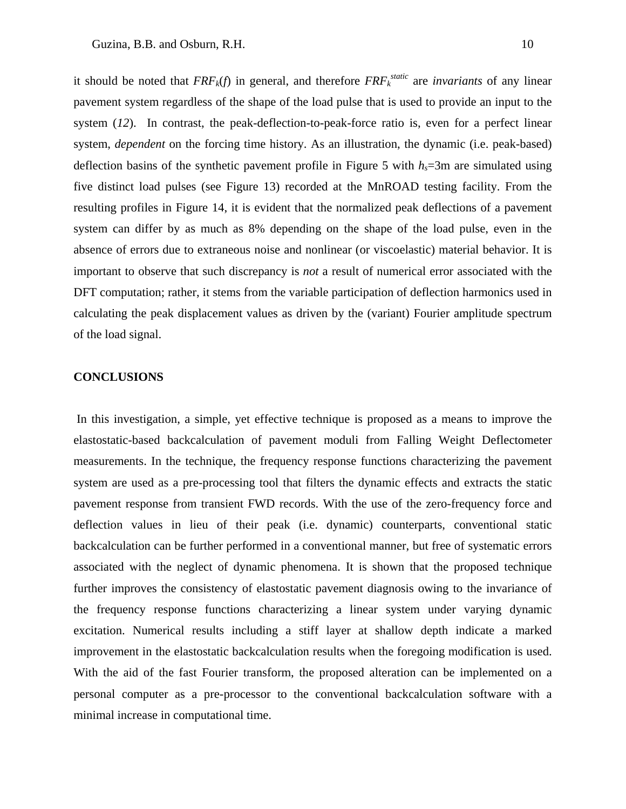it should be noted that  $FRF_k(f)$  in general, and therefore  $FRF_k^{static}$  are *invariants* of any linear pavement system regardless of the shape of the load pulse that is used to provide an input to the system (12). In contrast, the peak-deflection-to-peak-force ratio is, even for a perfect linear system, *dependent* on the forcing time history. As an illustration, the dynamic (i.e. peak-based) deflection basins of the synthetic pavement profile in Figure 5 with  $h<sub>s</sub>=3m$  are simulated using five distinct load pulses (see Figure 13) recorded at the MnROAD testing facility. From the resulting profiles in Figure 14, it is evident that the normalized peak deflections of a pavement system can differ by as much as 8% depending on the shape of the load pulse, even in the absence of errors due to extraneous noise and nonlinear (or viscoelastic) material behavior. It is important to observe that such discrepancy is *not* a result of numerical error associated with the DFT computation; rather, it stems from the variable participation of deflection harmonics used in calculating the peak displacement values as driven by the (variant) Fourier amplitude spectrum of the load signal.

#### **CONCLUSIONS**

 In this investigation, a simple, yet effective technique is proposed as a means to improve the elastostatic-based backcalculation of pavement moduli from Falling Weight Deflectometer measurements. In the technique, the frequency response functions characterizing the pavement system are used as a pre-processing tool that filters the dynamic effects and extracts the static pavement response from transient FWD records. With the use of the zero-frequency force and deflection values in lieu of their peak (i.e. dynamic) counterparts, conventional static backcalculation can be further performed in a conventional manner, but free of systematic errors associated with the neglect of dynamic phenomena. It is shown that the proposed technique further improves the consistency of elastostatic pavement diagnosis owing to the invariance of the frequency response functions characterizing a linear system under varying dynamic excitation. Numerical results including a stiff layer at shallow depth indicate a marked improvement in the elastostatic backcalculation results when the foregoing modification is used. With the aid of the fast Fourier transform, the proposed alteration can be implemented on a personal computer as a pre-processor to the conventional backcalculation software with a minimal increase in computational time.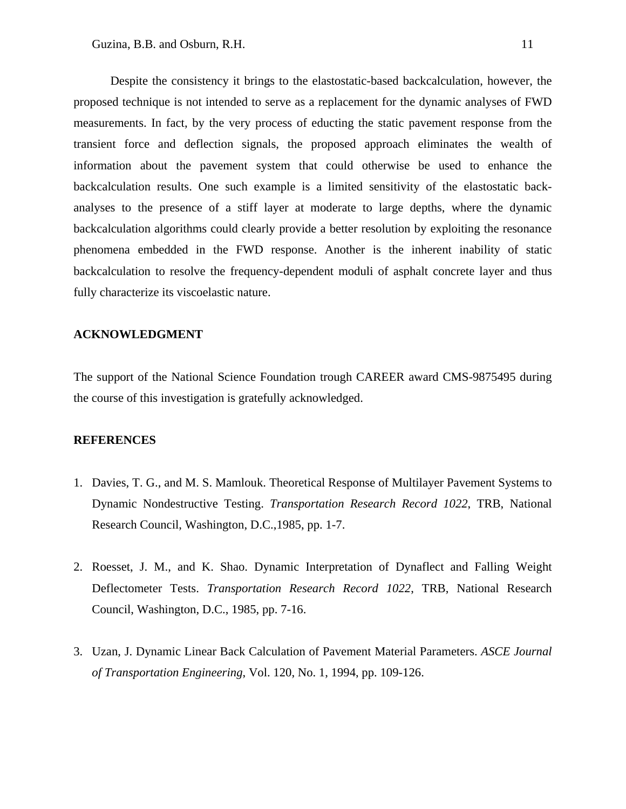Despite the consistency it brings to the elastostatic-based backcalculation, however, the proposed technique is not intended to serve as a replacement for the dynamic analyses of FWD measurements. In fact, by the very process of educting the static pavement response from the transient force and deflection signals, the proposed approach eliminates the wealth of information about the pavement system that could otherwise be used to enhance the backcalculation results. One such example is a limited sensitivity of the elastostatic backanalyses to the presence of a stiff layer at moderate to large depths, where the dynamic backcalculation algorithms could clearly provide a better resolution by exploiting the resonance phenomena embedded in the FWD response. Another is the inherent inability of static backcalculation to resolve the frequency-dependent moduli of asphalt concrete layer and thus fully characterize its viscoelastic nature.

#### **ACKNOWLEDGMENT**

The support of the National Science Foundation trough CAREER award CMS-9875495 during the course of this investigation is gratefully acknowledged.

#### **REFERENCES**

- 1. Davies, T. G., and M. S. Mamlouk. Theoretical Response of Multilayer Pavement Systems to Dynamic Nondestructive Testing. *Transportation Research Record 1022*, TRB, National Research Council, Washington, D.C.,1985, pp. 1-7.
- 2. Roesset, J. M., and K. Shao. Dynamic Interpretation of Dynaflect and Falling Weight Deflectometer Tests. *Transportation Research Record 1022*, TRB, National Research Council, Washington, D.C., 1985, pp. 7-16.
- 3. Uzan, J. Dynamic Linear Back Calculation of Pavement Material Parameters. *ASCE Journal of Transportation Engineering*, Vol. 120, No. 1, 1994, pp. 109-126.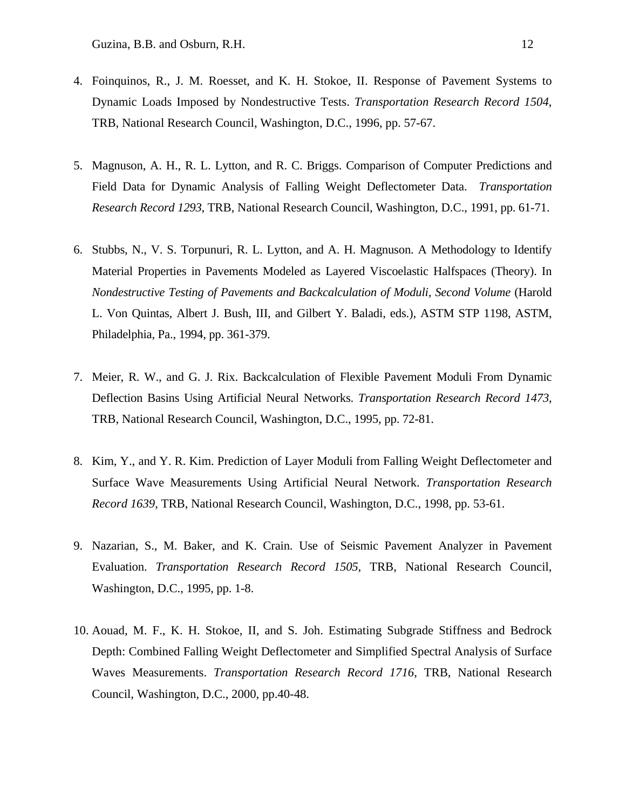- 4. Foinquinos, R., J. M. Roesset, and K. H. Stokoe, II. Response of Pavement Systems to Dynamic Loads Imposed by Nondestructive Tests. *Transportation Research Record 1504*, TRB, National Research Council, Washington, D.C., 1996, pp. 57-67.
- 5. Magnuson, A. H., R. L. Lytton, and R. C. Briggs. Comparison of Computer Predictions and Field Data for Dynamic Analysis of Falling Weight Deflectometer Data. *Transportation Research Record 1293*, TRB, National Research Council, Washington, D.C., 1991, pp. 61-71.
- 6. Stubbs, N., V. S. Torpunuri, R. L. Lytton, and A. H. Magnuson. A Methodology to Identify Material Properties in Pavements Modeled as Layered Viscoelastic Halfspaces (Theory). In *Nondestructive Testing of Pavements and Backcalculation of Moduli, Second Volume* (Harold L. Von Quintas, Albert J. Bush, III, and Gilbert Y. Baladi, eds.), ASTM STP 1198, ASTM, Philadelphia, Pa., 1994, pp. 361-379.
- 7. Meier, R. W., and G. J. Rix. Backcalculation of Flexible Pavement Moduli From Dynamic Deflection Basins Using Artificial Neural Networks. *Transportation Research Record 1473*, TRB, National Research Council, Washington, D.C., 1995, pp. 72-81.
- 8. Kim, Y., and Y. R. Kim. Prediction of Layer Moduli from Falling Weight Deflectometer and Surface Wave Measurements Using Artificial Neural Network. *Transportation Research Record 1639*, TRB, National Research Council, Washington, D.C., 1998, pp. 53-61.
- 9. Nazarian, S., M. Baker, and K. Crain. Use of Seismic Pavement Analyzer in Pavement Evaluation. *Transportation Research Record 1505*, TRB, National Research Council, Washington, D.C., 1995, pp. 1-8.
- 10. Aouad, M. F., K. H. Stokoe, II, and S. Joh. Estimating Subgrade Stiffness and Bedrock Depth: Combined Falling Weight Deflectometer and Simplified Spectral Analysis of Surface Waves Measurements. *Transportation Research Record 1716*, TRB, National Research Council, Washington, D.C., 2000, pp.40-48.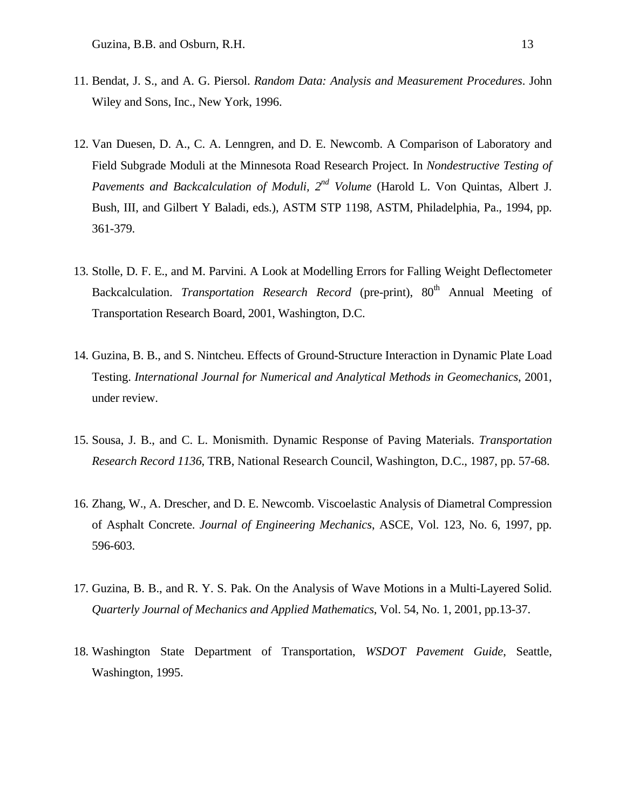- 11. Bendat, J. S., and A. G. Piersol. *Random Data: Analysis and Measurement Procedures*. John Wiley and Sons, Inc., New York, 1996.
- 12. Van Duesen, D. A., C. A. Lenngren, and D. E. Newcomb. A Comparison of Laboratory and Field Subgrade Moduli at the Minnesota Road Research Project. In *Nondestructive Testing of Pavements and Backcalculation of Moduli, 2nd Volume* (Harold L. Von Quintas, Albert J. Bush, III, and Gilbert Y Baladi, eds.), ASTM STP 1198, ASTM, Philadelphia, Pa., 1994, pp. 361-379.
- 13. Stolle, D. F. E., and M. Parvini. A Look at Modelling Errors for Falling Weight Deflectometer Backcalculation. *Transportation Research Record* (pre-print), 80<sup>th</sup> Annual Meeting of Transportation Research Board, 2001, Washington, D.C.
- 14. Guzina, B. B., and S. Nintcheu. Effects of Ground-Structure Interaction in Dynamic Plate Load Testing. *International Journal for Numerical and Analytical Methods in Geomechanics*, 2001, under review.
- 15. Sousa, J. B., and C. L. Monismith. Dynamic Response of Paving Materials. *Transportation Research Record 1136*, TRB, National Research Council, Washington, D.C., 1987, pp. 57-68.
- 16. Zhang, W., A. Drescher, and D. E. Newcomb. Viscoelastic Analysis of Diametral Compression of Asphalt Concrete. *Journal of Engineering Mechanics*, ASCE, Vol. 123, No. 6, 1997, pp. 596-603.
- 17. Guzina, B. B., and R. Y. S. Pak. On the Analysis of Wave Motions in a Multi-Layered Solid. *Quarterly Journal of Mechanics and Applied Mathematics*, Vol. 54, No. 1, 2001, pp.13-37.
- 18. Washington State Department of Transportation, *WSDOT Pavement Guide*, Seattle, Washington, 1995.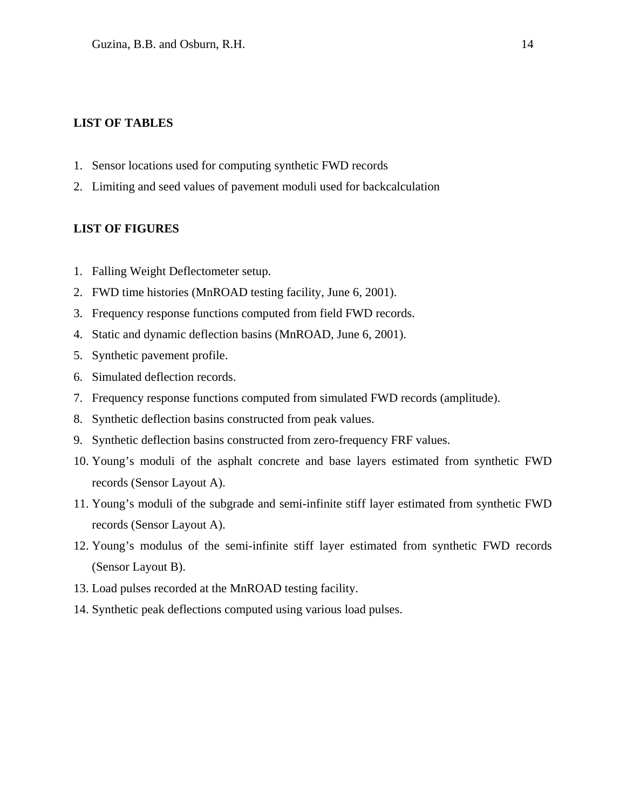#### **LIST OF TABLES**

- 1. Sensor locations used for computing synthetic FWD records
- 2. Limiting and seed values of pavement moduli used for backcalculation

#### **LIST OF FIGURES**

- 1. Falling Weight Deflectometer setup.
- 2. FWD time histories (MnROAD testing facility, June 6, 2001).
- 3. Frequency response functions computed from field FWD records.
- 4. Static and dynamic deflection basins (MnROAD, June 6, 2001).
- 5. Synthetic pavement profile.
- 6. Simulated deflection records.
- 7. Frequency response functions computed from simulated FWD records (amplitude).
- 8. Synthetic deflection basins constructed from peak values.
- 9. Synthetic deflection basins constructed from zero-frequency FRF values.
- 10. Young's moduli of the asphalt concrete and base layers estimated from synthetic FWD records (Sensor Layout A).
- 11. Young's moduli of the subgrade and semi-infinite stiff layer estimated from synthetic FWD records (Sensor Layout A).
- 12. Young's modulus of the semi-infinite stiff layer estimated from synthetic FWD records (Sensor Layout B).
- 13. Load pulses recorded at the MnROAD testing facility.
- 14. Synthetic peak deflections computed using various load pulses.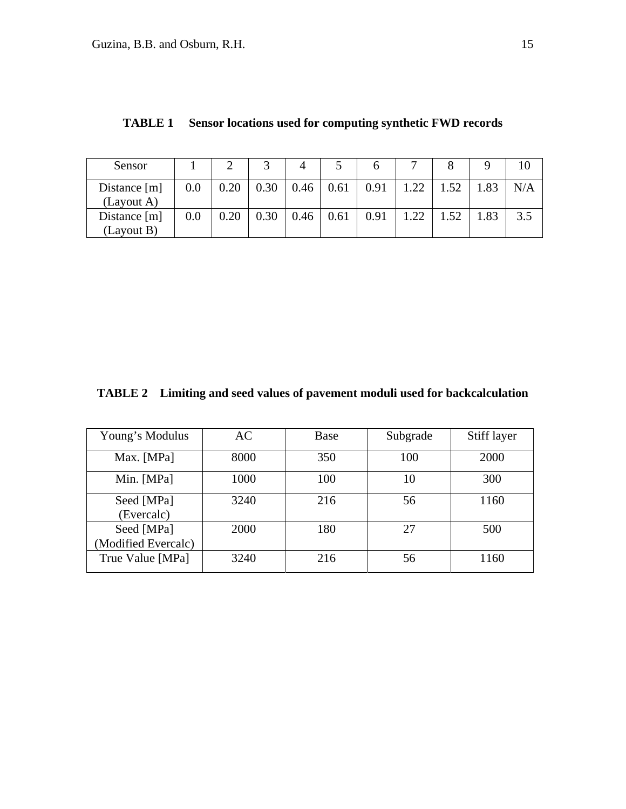| Sensor                       |     |      |      |      |      |      |     |     |     |     |
|------------------------------|-----|------|------|------|------|------|-----|-----|-----|-----|
| Distance $[m]$<br>(Layout A) | 0.0 | 0.20 | 0.30 | 0.46 | 0.61 | 0.91 | .22 | .52 | .83 | N/A |
| Distance $[m]$<br>(Layout B) | 0.0 | 0.20 | 0.30 | 0.46 | 0.61 | 0.91 |     | .52 | .83 | 3.5 |

### **TABLE 1 Sensor locations used for computing synthetic FWD records**

**TABLE 2 Limiting and seed values of pavement moduli used for backcalculation** 

| Young's Modulus                   | AC   | Base | Subgrade | Stiff layer |
|-----------------------------------|------|------|----------|-------------|
| Max. [MPa]                        | 8000 | 350  | 100      | 2000        |
| Min. [MPa]                        | 1000 | 100  | 10       | 300         |
| Seed [MPa]<br>(Evercalc)          | 3240 | 216  | 56       | 1160        |
| Seed [MPa]<br>(Modified Evercalc) | 2000 | 180  | 27       | 500         |
| True Value [MPa]                  | 3240 | 216  | 56       | 1160        |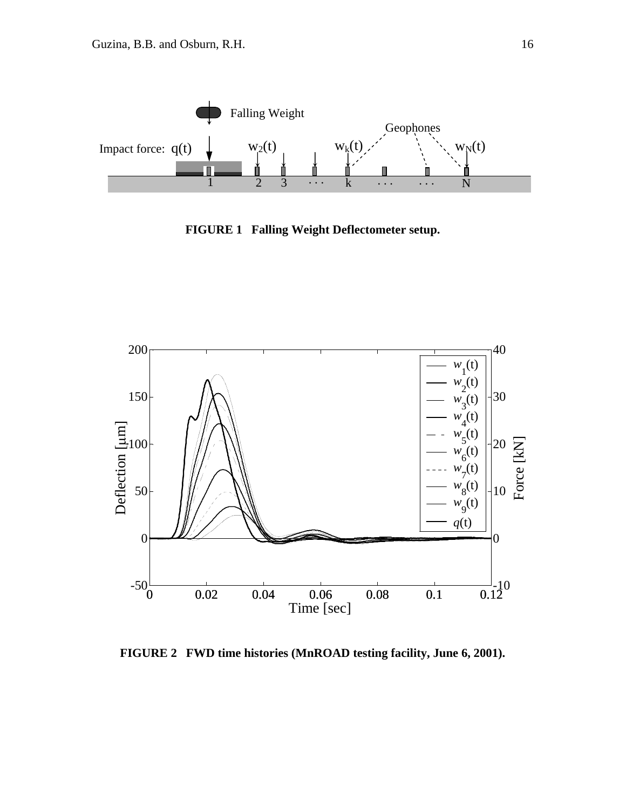

**FIGURE 1 Falling Weight Deflectometer setup.** 



**FIGURE 2 FWD time histories (MnROAD testing facility, June 6, 2001).**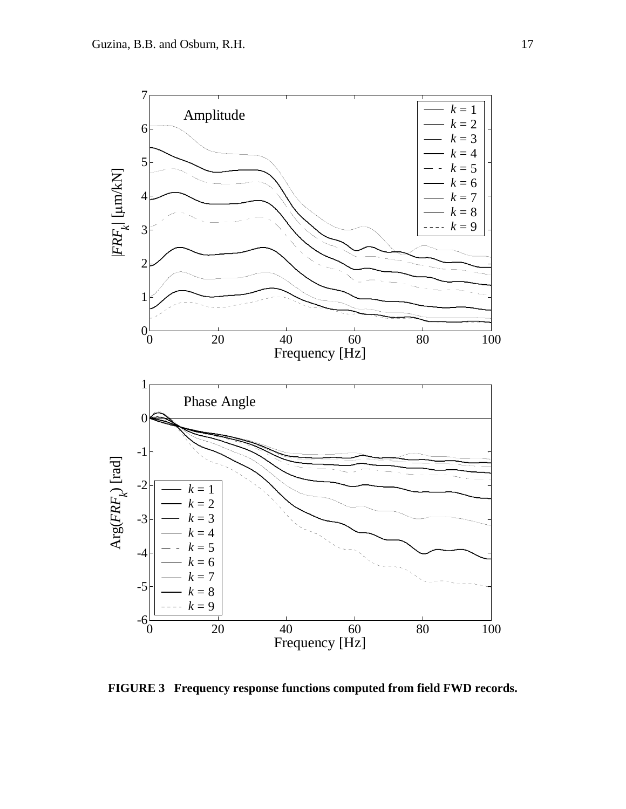

**FIGURE 3 Frequency response functions computed from field FWD records.**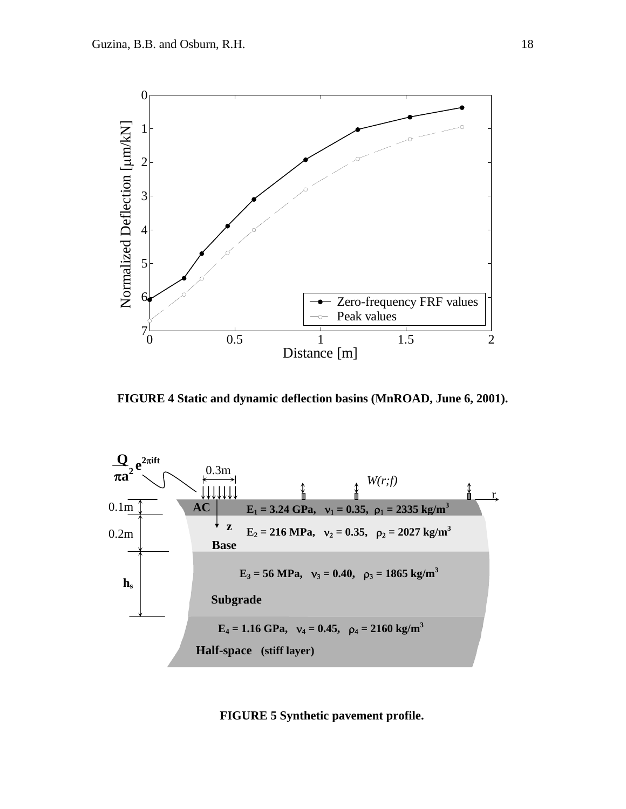

**FIGURE 4 Static and dynamic deflection basins (MnROAD, June 6, 2001).** 



**FIGURE 5 Synthetic pavement profile.**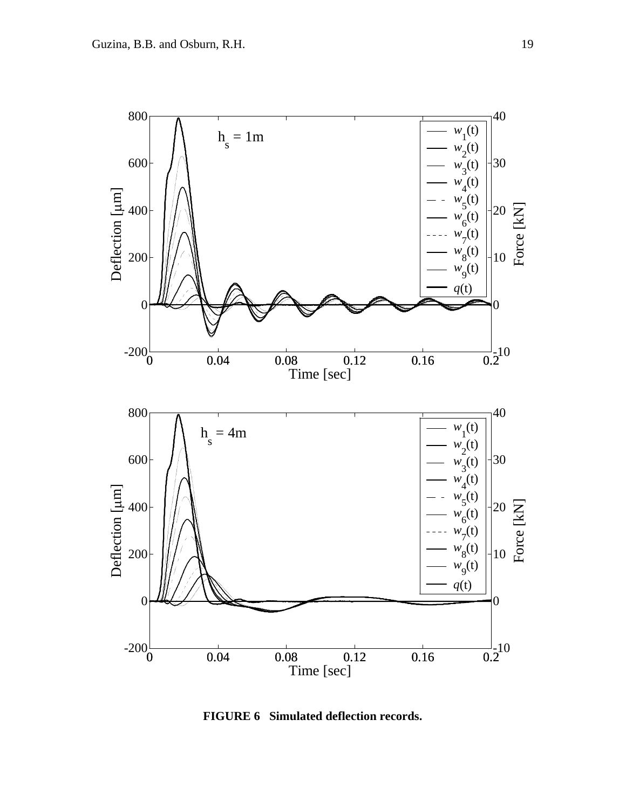

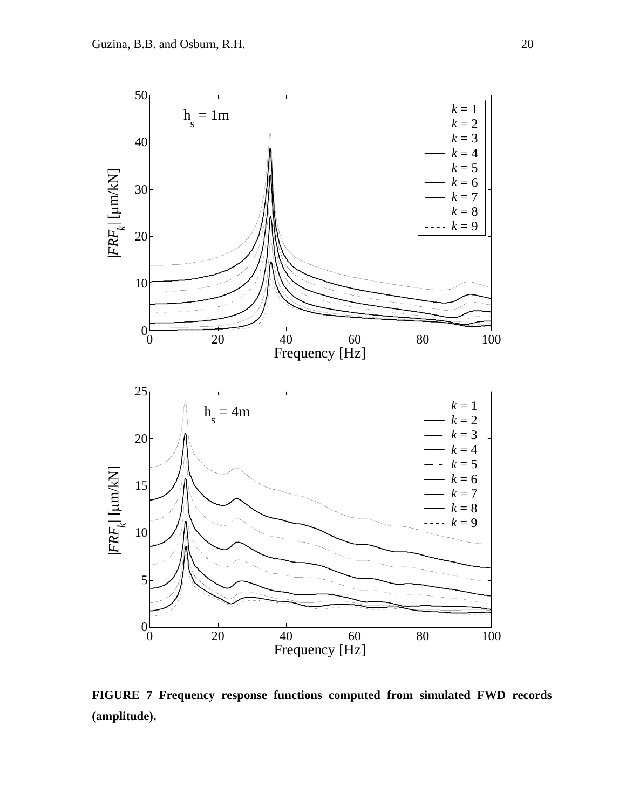

**FIGURE 7 Frequency response functions computed from simulated FWD records (amplitude).**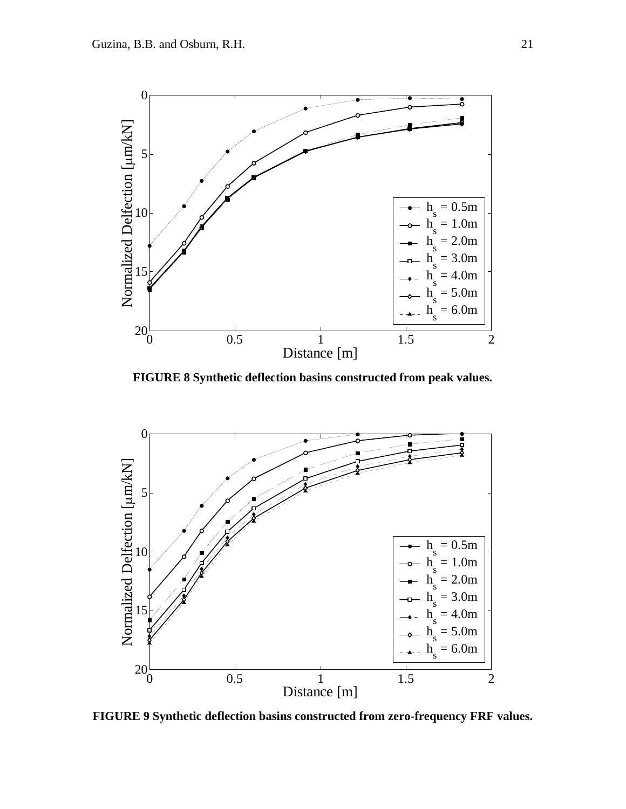

**FIGURE 8 Synthetic deflection basins constructed from peak values.** 



**FIGURE 9 Synthetic deflection basins constructed from zero-frequency FRF values.**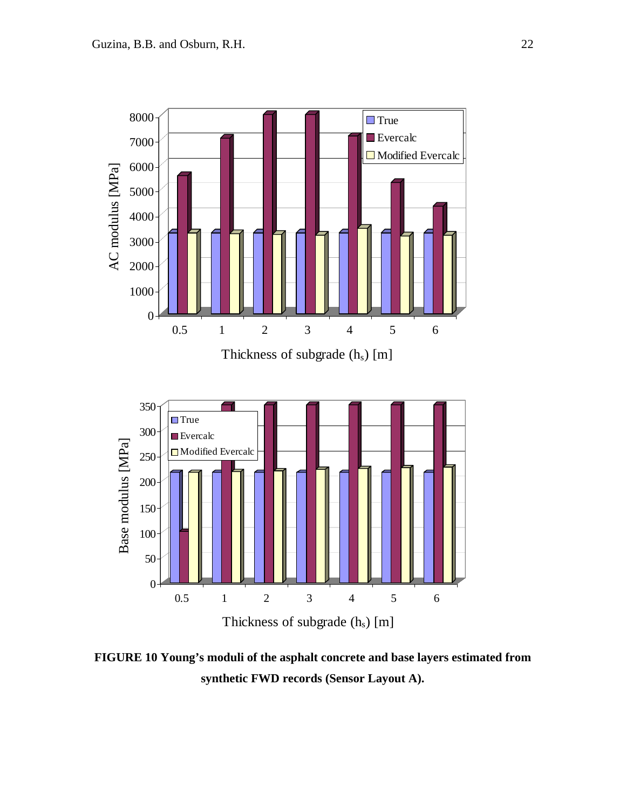

**FIGURE 10 Young's moduli of the asphalt concrete and base layers estimated from synthetic FWD records (Sensor Layout A).**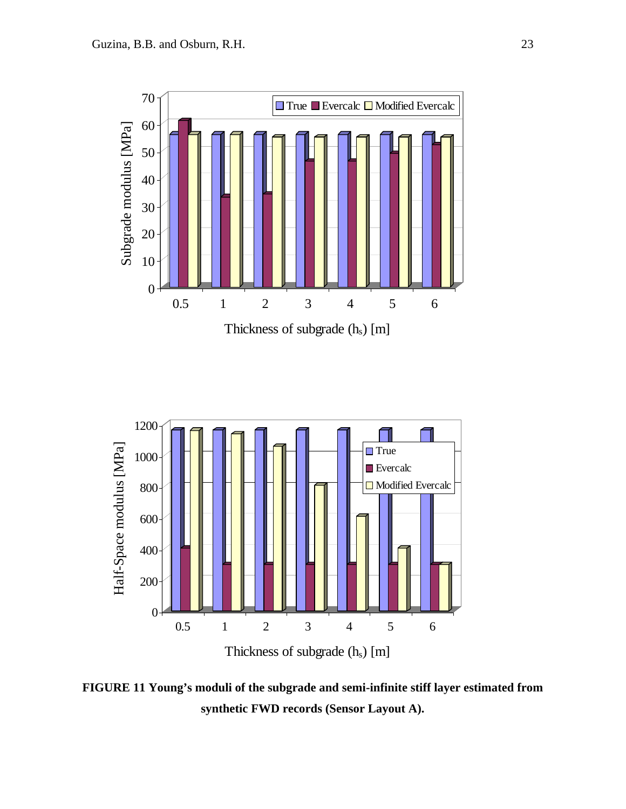



**FIGURE 11 Young's moduli of the subgrade and semi-infinite stiff layer estimated from synthetic FWD records (Sensor Layout A).**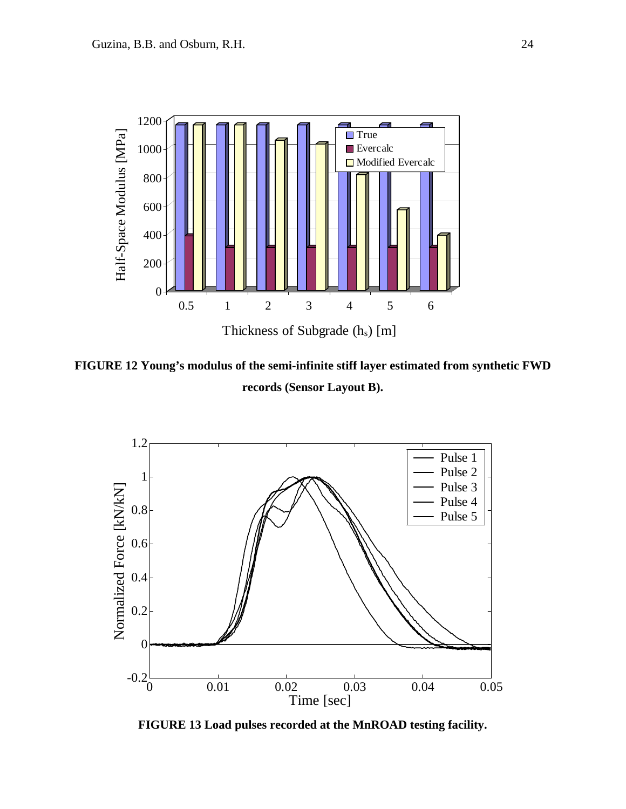

**FIGURE 12 Young's modulus of the semi-infinite stiff layer estimated from synthetic FWD records (Sensor Layout B).**



**FIGURE 13 Load pulses recorded at the MnROAD testing facility.**